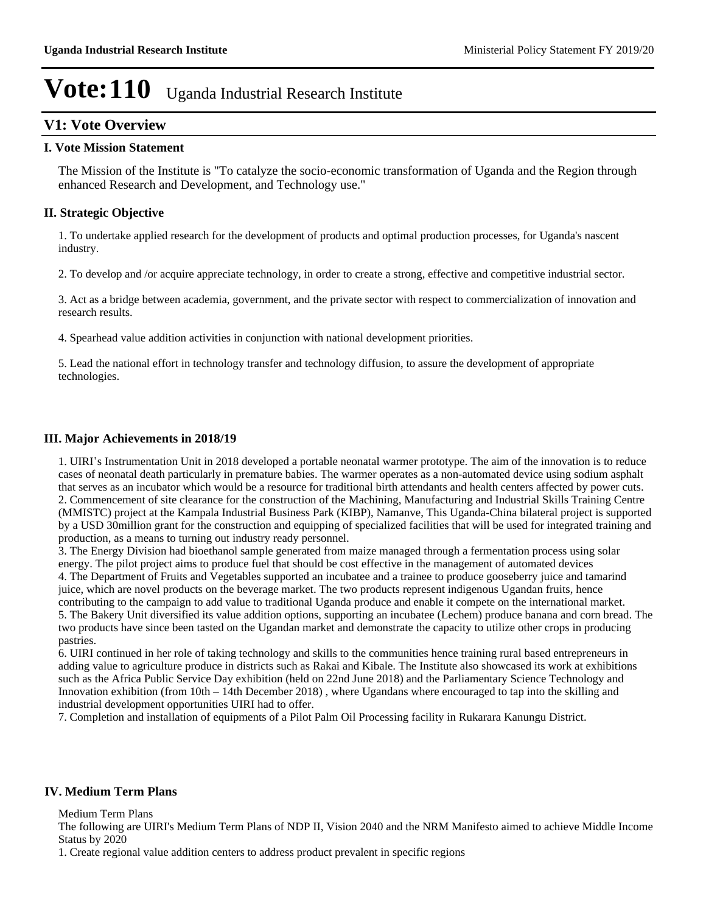## **V1: Vote Overview**

#### **I. Vote Mission Statement**

The Mission of the Institute is "To catalyze the socio-economic transformation of Uganda and the Region through enhanced Research and Development, and Technology use."

### **II. Strategic Objective**

1. To undertake applied research for the development of products and optimal production processes, for Uganda's nascent industry.

2. To develop and /or acquire appreciate technology, in order to create a strong, effective and competitive industrial sector.

3. Act as a bridge between academia, government, and the private sector with respect to commercialization of innovation and research results.

4. Spearhead value addition activities in conjunction with national development priorities.

5. Lead the national effort in technology transfer and technology diffusion, to assure the development of appropriate technologies.

### **III. Major Achievements in 2018/19**

1. UIRI's Instrumentation Unit in 2018 developed a portable neonatal warmer prototype. The aim of the innovation is to reduce cases of neonatal death particularly in premature babies. The warmer operates as a non-automated device using sodium asphalt that serves as an incubator which would be a resource for traditional birth attendants and health centers affected by power cuts. 2. Commencement of site clearance for the construction of the Machining, Manufacturing and Industrial Skills Training Centre (MMISTC) project at the Kampala Industrial Business Park (KIBP), Namanve, This Uganda-China bilateral project is supported by a USD 30million grant for the construction and equipping of specialized facilities that will be used for integrated training and production, as a means to turning out industry ready personnel.

3. The Energy Division had bioethanol sample generated from maize managed through a fermentation process using solar energy. The pilot project aims to produce fuel that should be cost effective in the management of automated devices 4. The Department of Fruits and Vegetables supported an incubatee and a trainee to produce gooseberry juice and tamarind juice, which are novel products on the beverage market. The two products represent indigenous Ugandan fruits, hence contributing to the campaign to add value to traditional Uganda produce and enable it compete on the international market. 5. The Bakery Unit diversified its value addition options, supporting an incubatee (Lechem) produce banana and corn bread. The two products have since been tasted on the Ugandan market and demonstrate the capacity to utilize other crops in producing pastries.

6. UIRI continued in her role of taking technology and skills to the communities hence training rural based entrepreneurs in adding value to agriculture produce in districts such as Rakai and Kibale. The Institute also showcased its work at exhibitions such as the Africa Public Service Day exhibition (held on 22nd June 2018) and the Parliamentary Science Technology and Innovation exhibition (from  $10th - 14th$  December 2018), where Ugandans where encouraged to tap into the skilling and industrial development opportunities UIRI had to offer.

7. Completion and installation of equipments of a Pilot Palm Oil Processing facility in Rukarara Kanungu District.

#### **IV. Medium Term Plans**

Medium Term Plans

The following are UIRI's Medium Term Plans of NDP II, Vision 2040 and the NRM Manifesto aimed to achieve Middle Income Status by 2020

1. Create regional value addition centers to address product prevalent in specific regions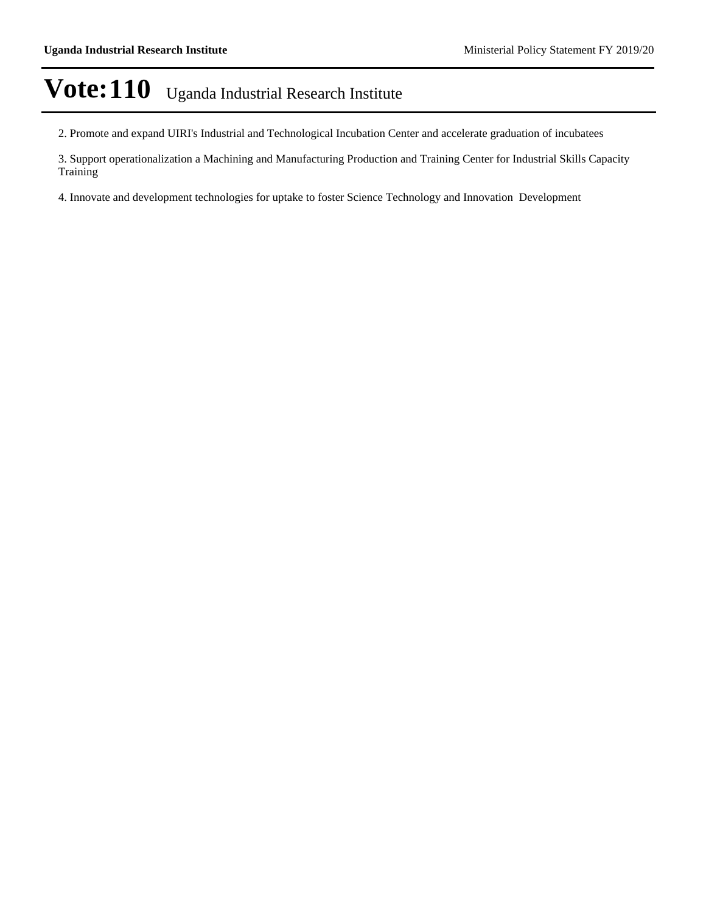2. Promote and expand UIRI's Industrial and Technological Incubation Center and accelerate graduation of incubatees

3. Support operationalization a Machining and Manufacturing Production and Training Center for Industrial Skills Capacity Training

4. Innovate and development technologies for uptake to foster Science Technology and Innovation Development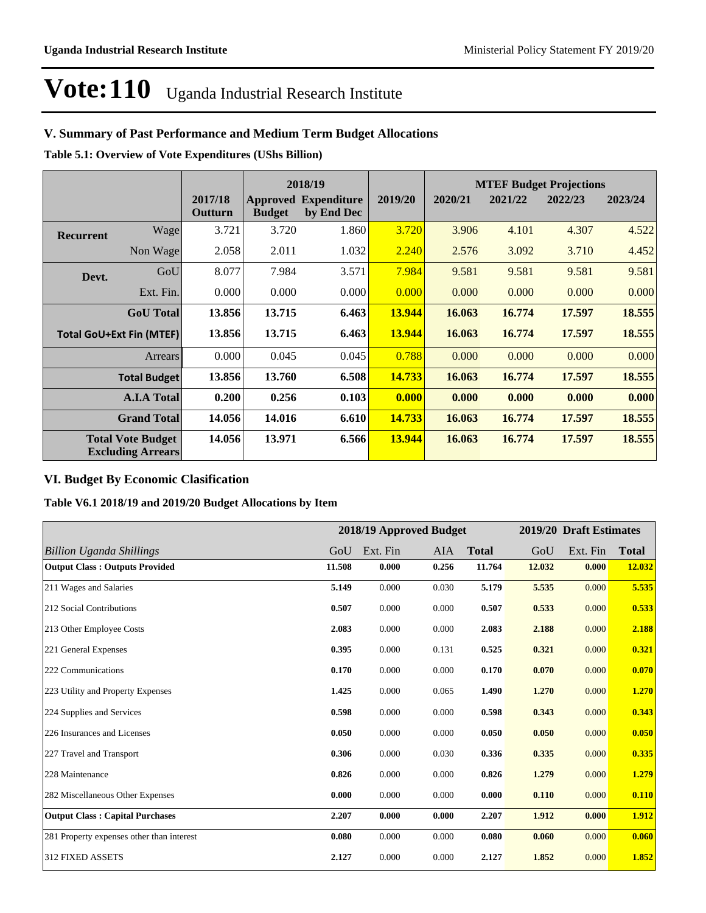## **V. Summary of Past Performance and Medium Term Budget Allocations**

**Table 5.1: Overview of Vote Expenditures (UShs Billion)**

| 2018/19          |                                                      |                    |               |                                           |         | <b>MTEF Budget Projections</b> |         |         |         |
|------------------|------------------------------------------------------|--------------------|---------------|-------------------------------------------|---------|--------------------------------|---------|---------|---------|
|                  |                                                      | 2017/18<br>Outturn | <b>Budget</b> | <b>Approved Expenditure</b><br>by End Dec | 2019/20 | 2020/21                        | 2021/22 | 2022/23 | 2023/24 |
| <b>Recurrent</b> | Wage                                                 | 3.721              | 3.720         | 1.860                                     | 3.720   | 3.906                          | 4.101   | 4.307   | 4.522   |
|                  | Non Wage                                             | 2.058              | 2.011         | 1.032                                     | 2.240   | 2.576                          | 3.092   | 3.710   | 4.452   |
| Devt.            | GoU                                                  | 8.077              | 7.984         | 3.571                                     | 7.984   | 9.581                          | 9.581   | 9.581   | 9.581   |
|                  | Ext. Fin.                                            | 0.000              | 0.000         | 0.000                                     | 0.000   | 0.000                          | 0.000   | 0.000   | 0.000   |
|                  | <b>GoU</b> Total                                     | 13.856             | 13.715        | 6.463                                     | 13.944  | 16.063                         | 16.774  | 17.597  | 18.555  |
|                  | <b>Total GoU+Ext Fin (MTEF)</b>                      | 13.856             | 13.715        | 6.463                                     | 13.944  | 16.063                         | 16.774  | 17.597  | 18.555  |
|                  | <b>Arrears</b>                                       | 0.000              | 0.045         | 0.045                                     | 0.788   | 0.000                          | 0.000   | 0.000   | 0.000   |
|                  | <b>Total Budget</b>                                  | 13.856             | 13.760        | 6.508                                     | 14.733  | 16.063                         | 16.774  | 17.597  | 18.555  |
|                  | <b>A.I.A Total</b>                                   | 0.200              | 0.256         | 0.103                                     | 0.000   | 0.000                          | 0.000   | 0.000   | 0.000   |
|                  | <b>Grand Total</b>                                   | 14.056             | 14.016        | 6.610                                     | 14.733  | 16.063                         | 16.774  | 17.597  | 18.555  |
|                  | <b>Total Vote Budget</b><br><b>Excluding Arrears</b> | 14.056             | 13.971        | 6.566                                     | 13.944  | 16.063                         | 16.774  | 17.597  | 18.555  |

## **VI. Budget By Economic Clasification**

**Table V6.1 2018/19 and 2019/20 Budget Allocations by Item**

|                                           |        |          | 2018/19 Approved Budget |              |        | 2019/20 Draft Estimates |              |
|-------------------------------------------|--------|----------|-------------------------|--------------|--------|-------------------------|--------------|
| <b>Billion Uganda Shillings</b>           | GoU    | Ext. Fin | <b>AIA</b>              | <b>Total</b> | GoU    | Ext. Fin                | <b>Total</b> |
| <b>Output Class: Outputs Provided</b>     | 11.508 | 0.000    | 0.256                   | 11.764       | 12.032 | 0.000                   | 12.032       |
| 211 Wages and Salaries                    | 5.149  | 0.000    | 0.030                   | 5.179        | 5.535  | 0.000                   | 5.535        |
| 212 Social Contributions                  | 0.507  | 0.000    | 0.000                   | 0.507        | 0.533  | 0.000                   | 0.533        |
| 213 Other Employee Costs                  | 2.083  | 0.000    | 0.000                   | 2.083        | 2.188  | 0.000                   | 2.188        |
| 221 General Expenses                      | 0.395  | 0.000    | 0.131                   | 0.525        | 0.321  | 0.000                   | 0.321        |
| 222 Communications                        | 0.170  | 0.000    | 0.000                   | 0.170        | 0.070  | 0.000                   | 0.070        |
| 223 Utility and Property Expenses         | 1.425  | 0.000    | 0.065                   | 1.490        | 1.270  | 0.000                   | 1.270        |
| 224 Supplies and Services                 | 0.598  | 0.000    | 0.000                   | 0.598        | 0.343  | 0.000                   | 0.343        |
| 226 Insurances and Licenses               | 0.050  | 0.000    | 0.000                   | 0.050        | 0.050  | 0.000                   | 0.050        |
| 227 Travel and Transport                  | 0.306  | 0.000    | 0.030                   | 0.336        | 0.335  | 0.000                   | 0.335        |
| 228 Maintenance                           | 0.826  | 0.000    | 0.000                   | 0.826        | 1.279  | 0.000                   | 1.279        |
| 282 Miscellaneous Other Expenses          | 0.000  | 0.000    | 0.000                   | 0.000        | 0.110  | 0.000                   | 0.110        |
| <b>Output Class: Capital Purchases</b>    | 2.207  | 0.000    | 0.000                   | 2.207        | 1.912  | 0.000                   | 1.912        |
| 281 Property expenses other than interest | 0.080  | 0.000    | 0.000                   | 0.080        | 0.060  | 0.000                   | 0.060        |
| <b>312 FIXED ASSETS</b>                   | 2.127  | 0.000    | 0.000                   | 2.127        | 1.852  | 0.000                   | 1.852        |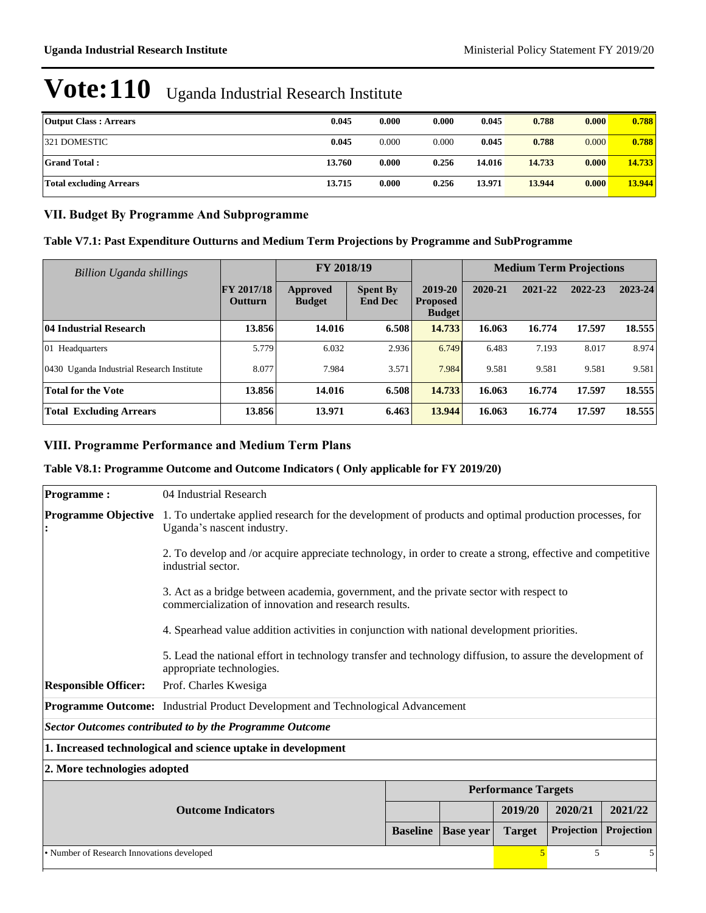| <b>Output Class: Arrears</b> | 0.045  | 0.000 | 0.000 | 0.045  | 0.788  | 0.000 | 0.788  |
|------------------------------|--------|-------|-------|--------|--------|-------|--------|
| 321 DOMESTIC                 | 0.045  | 0.000 | 0.000 | 0.045  | 0.788  | 0.000 | 0.788  |
| <b>Grand Total:</b>          | 13.760 | 0.000 | 0.256 | 14.016 | 14.733 | 0.000 | 14.733 |
| Total excluding Arrears      | 13.715 | 0.000 | 0.256 | 13.971 | 13.944 | 0.000 | 13.944 |

### **VII. Budget By Programme And Subprogramme**

| Table V7.1: Past Expenditure Outturns and Medium Term Projections by Programme and SubProgramme |  |  |
|-------------------------------------------------------------------------------------------------|--|--|
|-------------------------------------------------------------------------------------------------|--|--|

| Billion Uganda shillings                  |                                     | FY 2018/19                |                                   |                                             |         |         | <b>Medium Term Projections</b> |         |
|-------------------------------------------|-------------------------------------|---------------------------|-----------------------------------|---------------------------------------------|---------|---------|--------------------------------|---------|
|                                           | <b>FY 2017/18</b><br><b>Outturn</b> | Approved<br><b>Budget</b> | <b>Spent By</b><br><b>End Dec</b> | 2019-20<br><b>Proposed</b><br><b>Budget</b> | 2020-21 | 2021-22 | 2022-23                        | 2023-24 |
| <b>04 Industrial Research</b>             | 13.856                              | 14.016                    | 6.508                             | 14.733                                      | 16.063  | 16.774  | 17.597                         | 18.555  |
| $ 01 \text{ Headquarters}$                | 5.779                               | 6.032                     | 2.936                             | 6.749                                       | 6.483   | 7.193   | 8.017                          | 8.974   |
| 0430 Uganda Industrial Research Institute | 8.077                               | 7.984                     | 3.571                             | 7.984                                       | 9.581   | 9.581   | 9.581                          | 9.581   |
| <b>Total for the Vote</b>                 | 13.856                              | 14.016                    | 6.508                             | 14.733                                      | 16.063  | 16.774  | 17.597                         | 18.555  |
| <b>Total Excluding Arrears</b>            | 13.856                              | 13.971                    | 6.463                             | 13.944                                      | 16.063  | 16.774  | 17.597                         | 18.555  |

## **VIII. Programme Performance and Medium Term Plans**

## **Table V8.1: Programme Outcome and Outcome Indicators ( Only applicable for FY 2019/20)**

| <b>Programme:</b>                          | 04 Industrial Research                                                                                                                 |                                                                                                                                                  |                  |                            |            |            |  |
|--------------------------------------------|----------------------------------------------------------------------------------------------------------------------------------------|--------------------------------------------------------------------------------------------------------------------------------------------------|------------------|----------------------------|------------|------------|--|
|                                            |                                                                                                                                        |                                                                                                                                                  |                  |                            |            |            |  |
| <b>Programme Objective</b>                 | 1. To undertake applied research for the development of products and optimal production processes, for<br>Uganda's nascent industry.   |                                                                                                                                                  |                  |                            |            |            |  |
|                                            | 2. To develop and /or acquire appreciate technology, in order to create a strong, effective and competitive<br>industrial sector.      |                                                                                                                                                  |                  |                            |            |            |  |
|                                            |                                                                                                                                        | 3. Act as a bridge between academia, government, and the private sector with respect to<br>commercialization of innovation and research results. |                  |                            |            |            |  |
|                                            | 4. Spearhead value addition activities in conjunction with national development priorities.                                            |                                                                                                                                                  |                  |                            |            |            |  |
|                                            | 5. Lead the national effort in technology transfer and technology diffusion, to assure the development of<br>appropriate technologies. |                                                                                                                                                  |                  |                            |            |            |  |
| <b>Responsible Officer:</b>                | Prof. Charles Kwesiga                                                                                                                  |                                                                                                                                                  |                  |                            |            |            |  |
|                                            | Programme Outcome: Industrial Product Development and Technological Advancement                                                        |                                                                                                                                                  |                  |                            |            |            |  |
|                                            | Sector Outcomes contributed to by the Programme Outcome                                                                                |                                                                                                                                                  |                  |                            |            |            |  |
|                                            | 1. Increased technological and science uptake in development                                                                           |                                                                                                                                                  |                  |                            |            |            |  |
|                                            | 2. More technologies adopted                                                                                                           |                                                                                                                                                  |                  |                            |            |            |  |
|                                            |                                                                                                                                        |                                                                                                                                                  |                  | <b>Performance Targets</b> |            |            |  |
|                                            | <b>Outcome Indicators</b>                                                                                                              |                                                                                                                                                  |                  | 2019/20                    | 2020/21    | 2021/22    |  |
|                                            |                                                                                                                                        | <b>Baseline</b>                                                                                                                                  | <b>Base year</b> | <b>Target</b>              | Projection | Projection |  |
| • Number of Research Innovations developed |                                                                                                                                        |                                                                                                                                                  |                  |                            | 5          | 5          |  |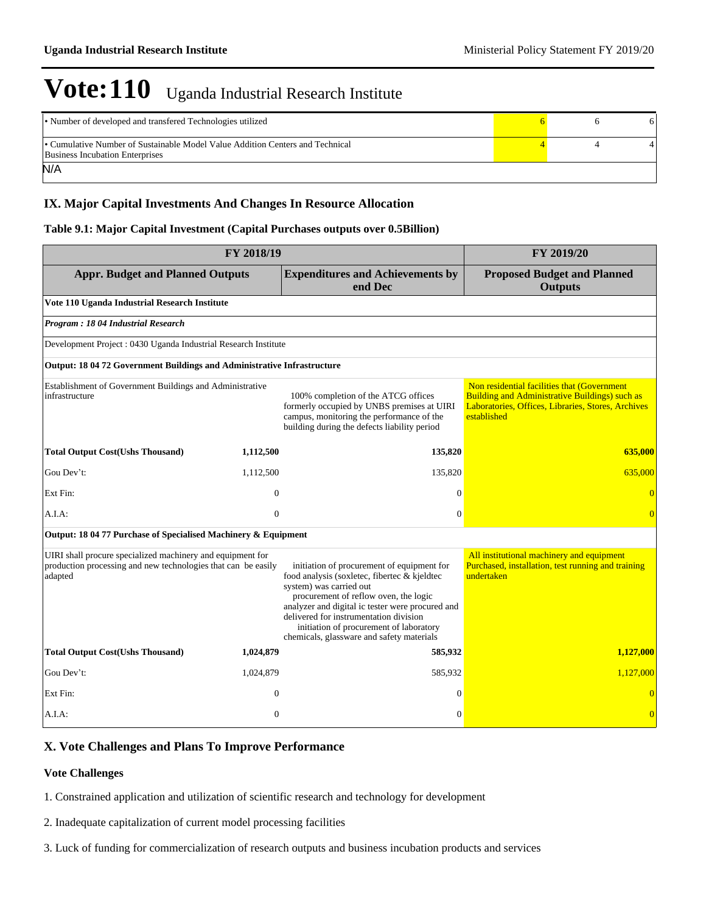| • Number of developed and transfered Technologies utilized                                                              |  |  |
|-------------------------------------------------------------------------------------------------------------------------|--|--|
| • Cumulative Number of Sustainable Model Value Addition Centers and Technical<br><b>Business Incubation Enterprises</b> |  |  |
| N/A                                                                                                                     |  |  |

## **IX. Major Capital Investments And Changes In Resource Allocation**

#### **Table 9.1: Major Capital Investment (Capital Purchases outputs over 0.5Billion)**

| FY 2018/19                                                                                                                             | FY 2019/20   |                                                                                                                                                                                                                                                                                                                                                      |                                                                                                                                                                           |
|----------------------------------------------------------------------------------------------------------------------------------------|--------------|------------------------------------------------------------------------------------------------------------------------------------------------------------------------------------------------------------------------------------------------------------------------------------------------------------------------------------------------------|---------------------------------------------------------------------------------------------------------------------------------------------------------------------------|
| <b>Appr. Budget and Planned Outputs</b>                                                                                                |              | <b>Expenditures and Achievements by</b><br>end Dec                                                                                                                                                                                                                                                                                                   | <b>Proposed Budget and Planned</b><br><b>Outputs</b>                                                                                                                      |
| Vote 110 Uganda Industrial Research Institute                                                                                          |              |                                                                                                                                                                                                                                                                                                                                                      |                                                                                                                                                                           |
| Program: 18 04 Industrial Research                                                                                                     |              |                                                                                                                                                                                                                                                                                                                                                      |                                                                                                                                                                           |
| Development Project : 0430 Uganda Industrial Research Institute                                                                        |              |                                                                                                                                                                                                                                                                                                                                                      |                                                                                                                                                                           |
| Output: 18 04 72 Government Buildings and Administrative Infrastructure                                                                |              |                                                                                                                                                                                                                                                                                                                                                      |                                                                                                                                                                           |
| Establishment of Government Buildings and Administrative<br>infrastructure                                                             |              | 100% completion of the ATCG offices<br>formerly occupied by UNBS premises at UIRI<br>campus, monitoring the performance of the<br>building during the defects liability period                                                                                                                                                                       | Non residential facilities that (Government<br><b>Building and Administrative Buildings) such as</b><br>Laboratories, Offices, Libraries, Stores, Archives<br>established |
| <b>Total Output Cost(Ushs Thousand)</b>                                                                                                | 1,112,500    | 135,820                                                                                                                                                                                                                                                                                                                                              | 635,000                                                                                                                                                                   |
| Gou Dev't:                                                                                                                             | 1,112,500    | 135,820                                                                                                                                                                                                                                                                                                                                              | 635,000                                                                                                                                                                   |
| Ext Fin:                                                                                                                               | $\mathbf{0}$ | $\Omega$                                                                                                                                                                                                                                                                                                                                             | $\overline{0}$                                                                                                                                                            |
| A.I.A.                                                                                                                                 | $\mathbf{0}$ | $\theta$                                                                                                                                                                                                                                                                                                                                             |                                                                                                                                                                           |
| Output: 18 04 77 Purchase of Specialised Machinery & Equipment                                                                         |              |                                                                                                                                                                                                                                                                                                                                                      |                                                                                                                                                                           |
| UIRI shall procure specialized machinery and equipment for<br>production processing and new technologies that can be easily<br>adapted |              | initiation of procurement of equipment for<br>food analysis (soxletec, fibertec & kjeldtec<br>system) was carried out<br>procurement of reflow oven, the logic<br>analyzer and digital ic tester were procured and<br>delivered for instrumentation division<br>initiation of procurement of laboratory<br>chemicals, glassware and safety materials | All institutional machinery and equipment<br>Purchased, installation, test running and training<br>undertaken                                                             |
| <b>Total Output Cost(Ushs Thousand)</b>                                                                                                | 1,024,879    | 585,932                                                                                                                                                                                                                                                                                                                                              | 1,127,000                                                                                                                                                                 |
| Gou Dev't:                                                                                                                             | 1,024,879    | 585,932                                                                                                                                                                                                                                                                                                                                              | 1,127,000                                                                                                                                                                 |
| Ext Fin:                                                                                                                               | $\mathbf{0}$ | $\Omega$                                                                                                                                                                                                                                                                                                                                             |                                                                                                                                                                           |
| $A.I.A$ :                                                                                                                              | $\mathbf{0}$ | $\Omega$                                                                                                                                                                                                                                                                                                                                             | $\overline{0}$                                                                                                                                                            |

### **X. Vote Challenges and Plans To Improve Performance**

#### **Vote Challenges**

1. Constrained application and utilization of scientific research and technology for development

2. Inadequate capitalization of current model processing facilities

3. Luck of funding for commercialization of research outputs and business incubation products and services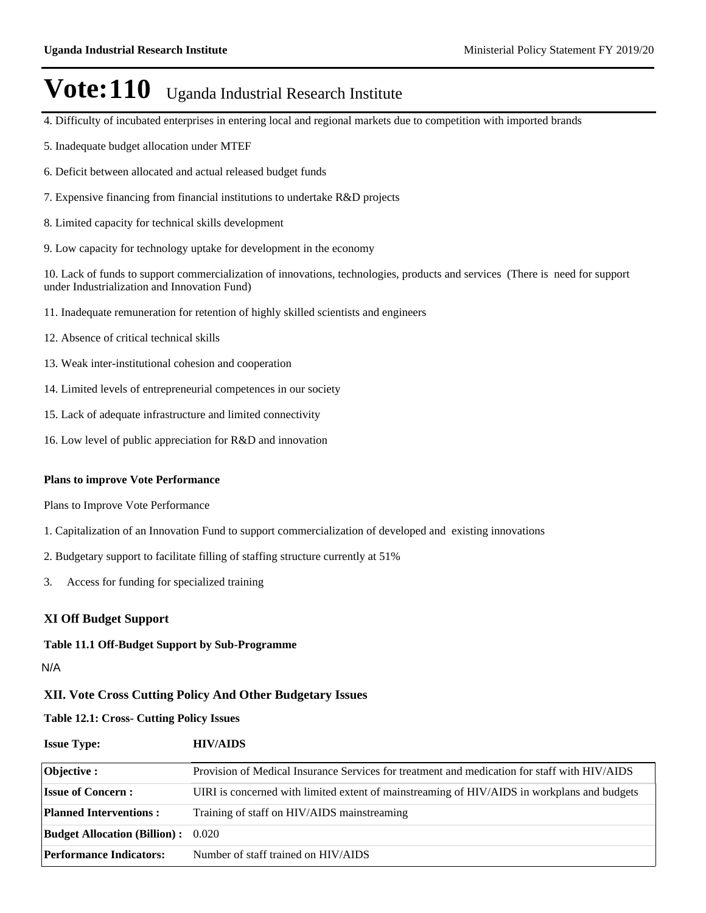- 4. Difficulty of incubated enterprises in entering local and regional markets due to competition with imported brands
- 5. Inadequate budget allocation under MTEF
- 6. Deficit between allocated and actual released budget funds
- 7. Expensive financing from financial institutions to undertake R&D projects
- 8. Limited capacity for technical skills development
- 9. Low capacity for technology uptake for development in the economy

10. Lack of funds to support commercialization of innovations, technologies, products and services (There is need for support under Industrialization and Innovation Fund)

- 11. Inadequate remuneration for retention of highly skilled scientists and engineers
- 12. Absence of critical technical skills
- 13. Weak inter-institutional cohesion and cooperation
- 14. Limited levels of entrepreneurial competences in our society
- 15. Lack of adequate infrastructure and limited connectivity
- 16. Low level of public appreciation for R&D and innovation

#### **Plans to improve Vote Performance**

Plans to Improve Vote Performance

- 1. Capitalization of an Innovation Fund to support commercialization of developed and existing innovations
- 2. Budgetary support to facilitate filling of staffing structure currently at 51%
- 3. Access for funding for specialized training

### **XI Off Budget Support**

#### **Table 11.1 Off-Budget Support by Sub-Programme**

#### N/A

#### **XII. Vote Cross Cutting Policy And Other Budgetary Issues**

**Table 12.1: Cross- Cutting Policy Issues**

| <b>Issue Type:</b>                        | <b>HIV/AIDS</b>                                                                              |
|-------------------------------------------|----------------------------------------------------------------------------------------------|
| Objective :                               | Provision of Medical Insurance Services for treatment and medication for staff with HIV/AIDS |
| <b>Issue of Concern:</b>                  | UIRI is concerned with limited extent of mainstreaming of HIV/AIDS in workplans and budgets  |
| <b>Planned Interventions:</b>             | Training of staff on HIV/AIDS mainstreaming                                                  |
| <b>Budget Allocation (Billion):</b> 0.020 |                                                                                              |
| <b>Performance Indicators:</b>            | Number of staff trained on HIV/AIDS                                                          |